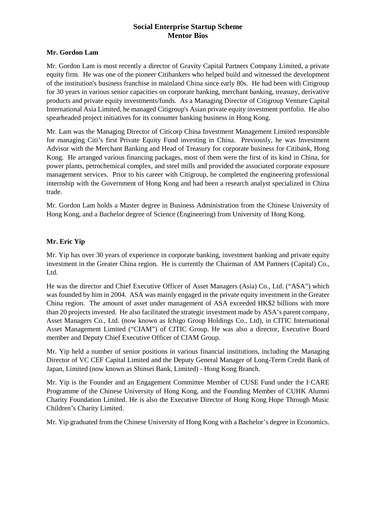# **Social Enterprise Startup Scheme Mentor Bios**

#### **Mr. Gordon Lam**

Mr. Gordon Lam is most recently a director of Gravity Capital Partners Company Limited, a private equity firm. He was one of the pioneer Citibankers who helped build and witnessed the development of the institution's business franchise in mainland China since early 80s. He had been with Citigroup for 30 years in various senior capacities on corporate banking, merchant banking, treasury, derivative products and private equity investments/funds. As a Managing Director of Citigroup Venture Capital International Asia Limited, he managed Citigroup's Asian private equity investment portfolio. He also spearheaded project initiatives for its consumer banking business in Hong Kong.

Mr. Lam was the Managing Director of Citicorp China Investment Management Limited responsible for managing Citi's first Private Equity Fund investing in China. Previously, he was Investment Advisor with the Merchant Banking and Head of Treasury for corporate business for Citibank, Hong Kong. He arranged various financing packages, most of them were the first of its kind in China, for power plants, petrochemical complex, and steel mills and provided the associated corporate exposure management services. Prior to his career with Citigroup, he completed the engineering professional internship with the Government of Hong Kong and had been a research analyst specialized in China trade.

Mr. Gordon Lam holds a Master degree in Business Administration from the Chinese University of Hong Kong, and a Bachelor degree of Science (Engineering) from University of Hong Kong.

## **Mr. Eric Yip**

Mr. Yip has over 30 years of experience in corporate banking, investment banking and private equity investment in the Greater China region. He is currently the Chairman of AM Partners (Capital) Co., Ltd.

He was the director and Chief Executive Officer of Asset Managers (Asia) Co., Ltd. ("ASA") which was founded by him in 2004. ASA was mainly engaged in the private equity investment in the Greater China region. The amount of asset under management of ASA exceeded HK\$2 billions with more than 20 projects invested. He also facilitated the strategic investment made by ASA's parent company, Asset Managers Co., Ltd. (now known as Ichigo Group Holdings Co., Ltd), in CITIC International Asset Management Limited ("CIAM") of CITIC Group. He was also a director, Executive Board member and Deputy Chief Executive Officer of CIAM Group.

Mr. Yip held a number of senior positions in various financial institutions, including the Managing Director of VC CEF Capital Limited and the Deputy General Manager of Long-Term Credit Bank of Japan, Limited (now known as Shinsei Bank, Limited) - Hong Kong Branch.

Mr. Yip is the Founder and an Engagement Committee Member of CUSE Fund under the I·CARE Programme of the Chinese University of Hong Kong, and the Founding Member of CUHK Alumni Charity Foundation Limited. He is also the Executive Director of Hong Kong Hope Through Music Children's Charity Limited.

Mr. Yip graduated from the Chinese University of Hong Kong with a Bachelor's degree in Economics.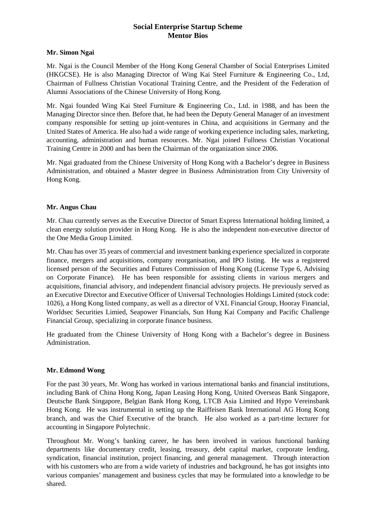# **Social Enterprise Startup Scheme Mentor Bios**

#### **Mr. Simon Ngai**

Mr. Ngai is the Council Member of the Hong Kong General Chamber of Social Enterprises Limited (HKGCSE). He is also Managing Director of Wing Kai Steel Furniture & Engineering Co., Ltd, Chairman of Fullness Christian Vocational Training Centre, and the President of the Federation of Alumni Associations of the Chinese University of Hong Kong.

Mr. Ngai founded Wing Kai Steel Furniture & Engineering Co., Ltd. in 1988, and has been the Managing Director since then. Before that, he had been the Deputy General Manager of an investment company responsible for setting up joint-ventures in China, and acquisitions in Germany and the United States of America. He also had a wide range of working experience including sales, marketing, accounting, administration and human resources. Mr. Ngai joined Fullness Christian Vocational Training Centre in 2000 and has been the Chairman of the organization since 2006.

Mr. Ngai graduated from the Chinese University of Hong Kong with a Bachelor's degree in Business Administration, and obtained a Master degree in Business Administration from City University of Hong Kong.

## **Mr. Angus Chau**

Mr. Chau currently serves as the Executive Director of Smart Express International holding limited, a clean energy solution provider in Hong Kong. He is also the independent non-executive director of the One Media Group Limited.

Mr. Chau has over 35 years of commercial and investment banking experience specialized in corporate finance, mergers and acquisitions, company reorganisation, and IPO listing. He was a registered licensed person of the Securities and Futures Commission of Hong Kong (License Type 6, Advising on Corporate Finance). He has been responsible for assisting clients in various mergers and acquisitions, financial advisory, and independent financial advisory projects. He previously served as an Executive Director and Executive Officer of Universal Technologies Holdings Limited (stock code: 1026), a Hong Kong listed company, as well as a director of VXL Financial Group, Hooray Financial, Worldsec Securities Limied, Seapower Financials, Sun Hung Kai Company and Pacific Challenge Financial Group, specializing in corporate finance business.

He graduated from the Chinese University of Hong Kong with a Bachelor's degree in Business Administration.

#### **Mr. Edmond Wong**

For the past 30 years, Mr. Wong has worked in various international banks and financial institutions, including Bank of China Hong Kong, Japan Leasing Hong Kong, United Overseas Bank Singapore, Deutsche Bank Singapore, Belgian Bank Hong Kong, LTCB Asia Limited and Hypo Vereinsbank Hong Kong. He was instrumental in setting up the Raiffeisen Bank International AG Hong Kong branch, and was the Chief Executive of the branch. He also worked as a part-time lecturer for accounting in Singapore Polytechnic.

Throughout Mr. Wong's banking career, he has been involved in various functional banking departments like documentary credit, leasing, treasury, debt capital market, corporate lending, syndication, financial institution, project financing, and general management. Through interaction with his customers who are from a wide variety of industries and background, he has got insights into various companies' management and business cycles that may be formulated into a knowledge to be shared.